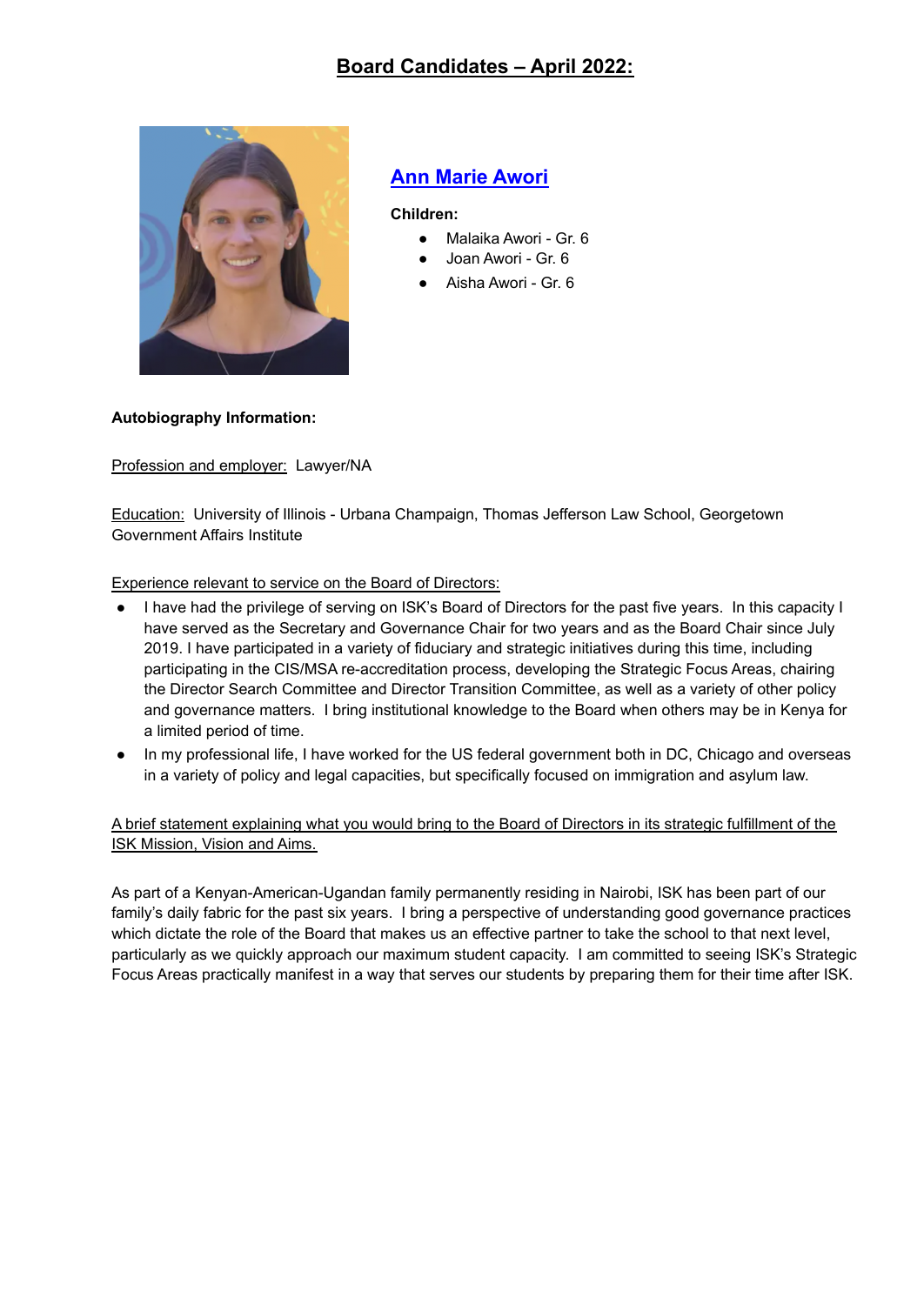

## **Ann Marie Awori**

**Children:**

- Malaika Awori Gr. 6
- Joan Awori Gr. 6
- Aisha Awori Gr. 6

#### **Autobiography Information:**

Profession and employer: Lawyer/NA

Education: University of Illinois - Urbana Champaign, Thomas Jefferson Law School, Georgetown Government Affairs Institute

Experience relevant to service on the Board of Directors:

- I have had the privilege of serving on ISK's Board of Directors for the past five years. In this capacity I have served as the Secretary and Governance Chair for two years and as the Board Chair since July 2019. I have participated in a variety of fiduciary and strategic initiatives during this time, including participating in the CIS/MSA re-accreditation process, developing the Strategic Focus Areas, chairing the Director Search Committee and Director Transition Committee, as well as a variety of other policy and governance matters. I bring institutional knowledge to the Board when others may be in Kenya for a limited period of time.
- In my professional life, I have worked for the US federal government both in DC, Chicago and overseas in a variety of policy and legal capacities, but specifically focused on immigration and asylum law.

A brief statement explaining what you would bring to the Board of Directors in its strategic fulfillment of the ISK Mission, Vision and Aims.

As part of a Kenyan-American-Ugandan family permanently residing in Nairobi, ISK has been part of our family's daily fabric for the past six years. I bring a perspective of understanding good governance practices which dictate the role of the Board that makes us an effective partner to take the school to that next level, particularly as we quickly approach our maximum student capacity. I am committed to seeing ISK's Strategic Focus Areas practically manifest in a way that serves our students by preparing them for their time after ISK.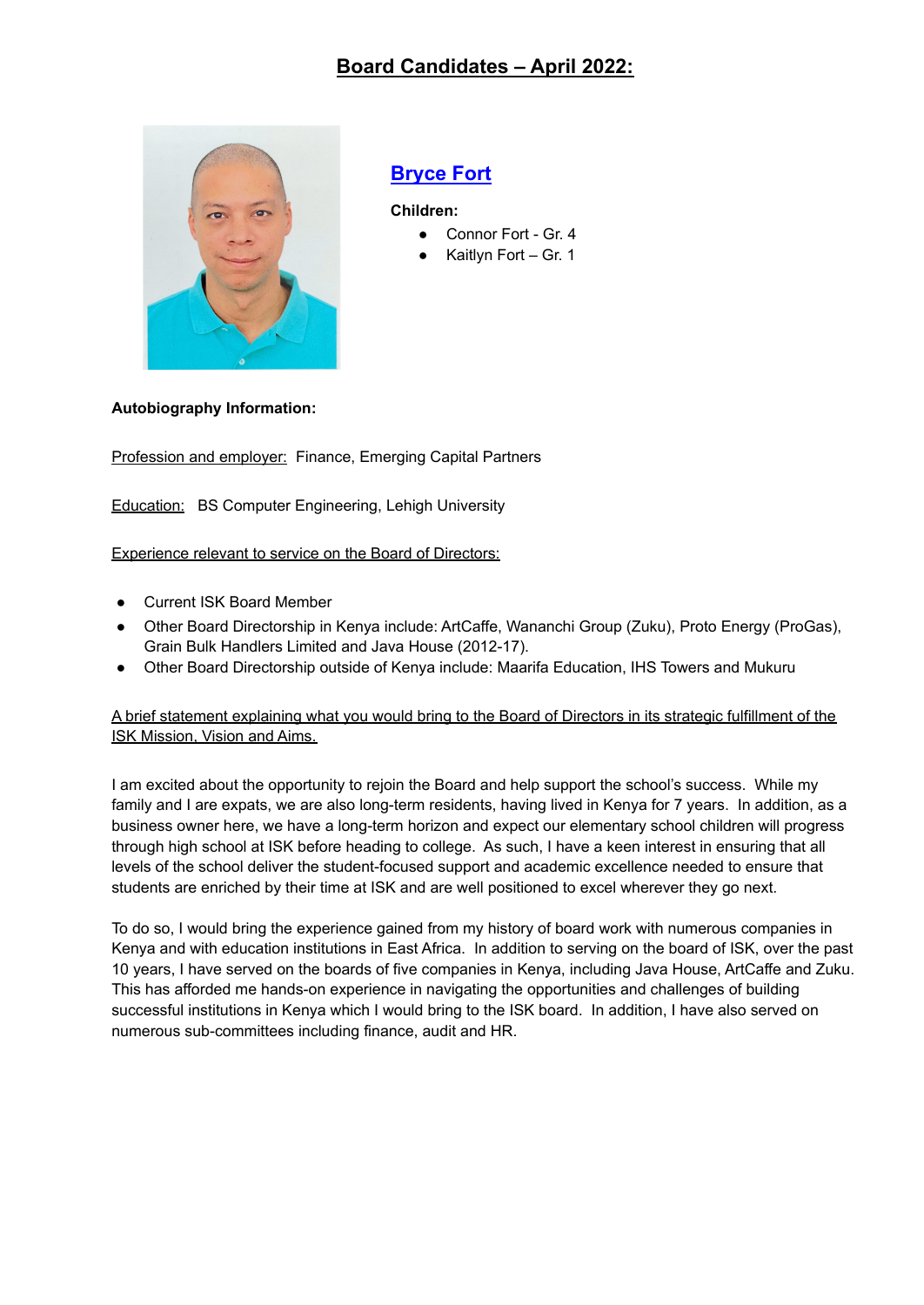

### **Bryce Fort**

**Children:**

- Connor Fort Gr. 4
- Kaitlyn Fort Gr. 1

#### **Autobiography Information:**

Profession and employer: Finance, Emerging Capital Partners

**Education:** BS Computer Engineering, Lehigh University

Experience relevant to service on the Board of Directors:

- Current ISK Board Member
- Other Board Directorship in Kenya include: ArtCaffe, Wananchi Group (Zuku), Proto Energy (ProGas), Grain Bulk Handlers Limited and Java House (2012-17).
- Other Board Directorship outside of Kenya include: Maarifa Education, IHS Towers and Mukuru

#### A brief statement explaining what you would bring to the Board of Directors in its strategic fulfillment of the ISK Mission, Vision and Aims.

I am excited about the opportunity to rejoin the Board and help support the school's success. While my family and I are expats, we are also long-term residents, having lived in Kenya for 7 years. In addition, as a business owner here, we have a long-term horizon and expect our elementary school children will progress through high school at ISK before heading to college. As such, I have a keen interest in ensuring that all levels of the school deliver the student-focused support and academic excellence needed to ensure that students are enriched by their time at ISK and are well positioned to excel wherever they go next.

To do so, I would bring the experience gained from my history of board work with numerous companies in Kenya and with education institutions in East Africa. In addition to serving on the board of ISK, over the past 10 years, I have served on the boards of five companies in Kenya, including Java House, ArtCaffe and Zuku. This has afforded me hands-on experience in navigating the opportunities and challenges of building successful institutions in Kenya which I would bring to the ISK board. In addition, I have also served on numerous sub-committees including finance, audit and HR.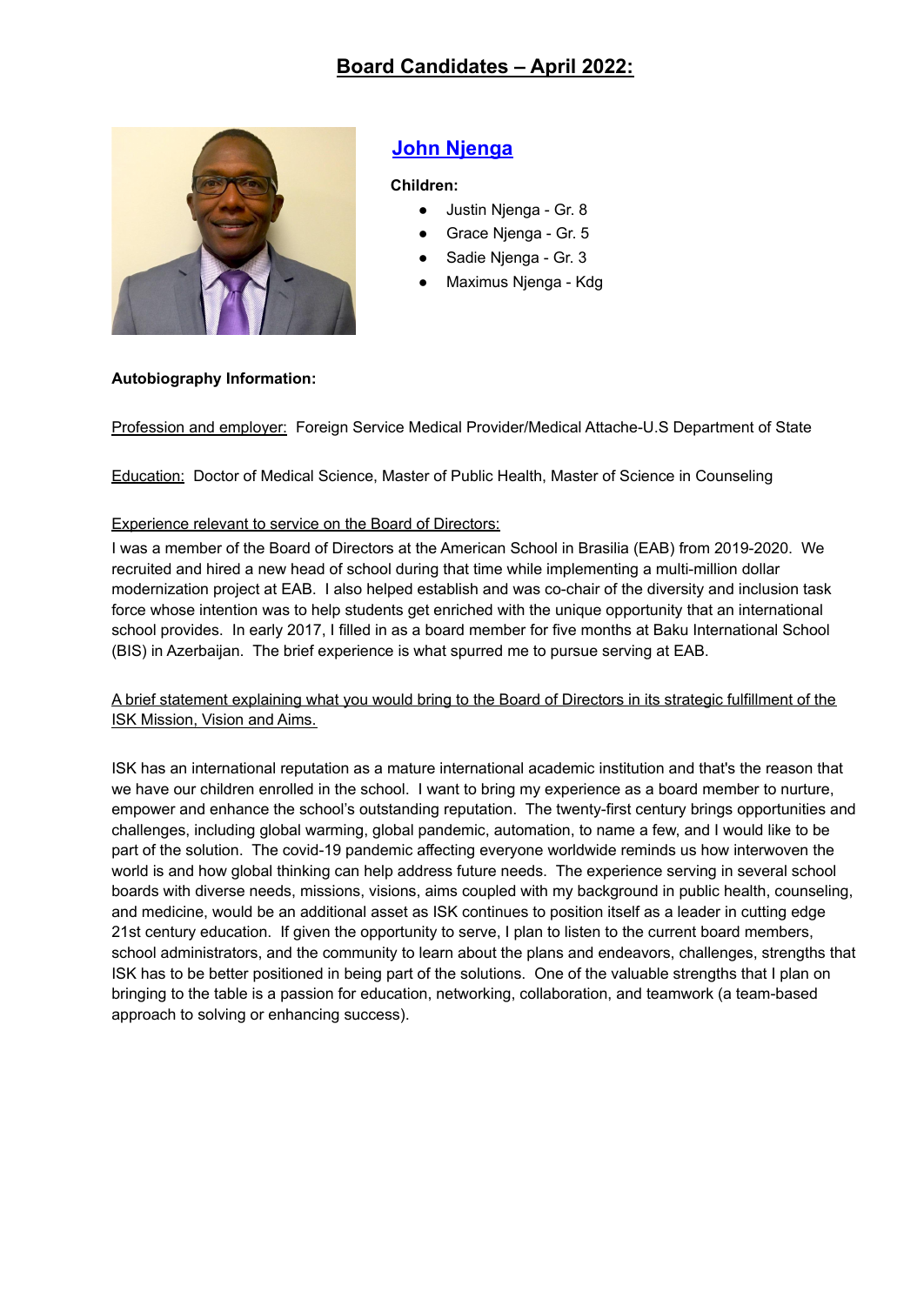

# **John Njenga**

#### **Children:**

- Justin Njenga Gr. 8
- Grace Njenga Gr. 5
- Sadie Njenga Gr. 3
- Maximus Njenga Kdg

#### **Autobiography Information:**

Profession and employer: Foreign Service Medical Provider/Medical Attache-U.S Department of State

Education: Doctor of Medical Science, Master of Public Health, Master of Science in Counseling

#### Experience relevant to service on the Board of Directors:

I was a member of the Board of Directors at the American School in Brasilia (EAB) from 2019-2020. We recruited and hired a new head of school during that time while implementing a multi-million dollar modernization project at EAB. I also helped establish and was co-chair of the diversity and inclusion task force whose intention was to help students get enriched with the unique opportunity that an international school provides. In early 2017, I filled in as a board member for five months at Baku International School (BIS) in Azerbaijan. The brief experience is what spurred me to pursue serving at EAB.

A brief statement explaining what you would bring to the Board of Directors in its strategic fulfillment of the ISK Mission, Vision and Aims.

ISK has an international reputation as a mature international academic institution and that's the reason that we have our children enrolled in the school. I want to bring my experience as a board member to nurture, empower and enhance the school's outstanding reputation. The twenty-first century brings opportunities and challenges, including global warming, global pandemic, automation, to name a few, and I would like to be part of the solution. The covid-19 pandemic affecting everyone worldwide reminds us how interwoven the world is and how global thinking can help address future needs. The experience serving in several school boards with diverse needs, missions, visions, aims coupled with my background in public health, counseling, and medicine, would be an additional asset as ISK continues to position itself as a leader in cutting edge 21st century education. If given the opportunity to serve, I plan to listen to the current board members, school administrators, and the community to learn about the plans and endeavors, challenges, strengths that ISK has to be better positioned in being part of the solutions. One of the valuable strengths that I plan on bringing to the table is a passion for education, networking, collaboration, and teamwork (a team-based approach to solving or enhancing success).